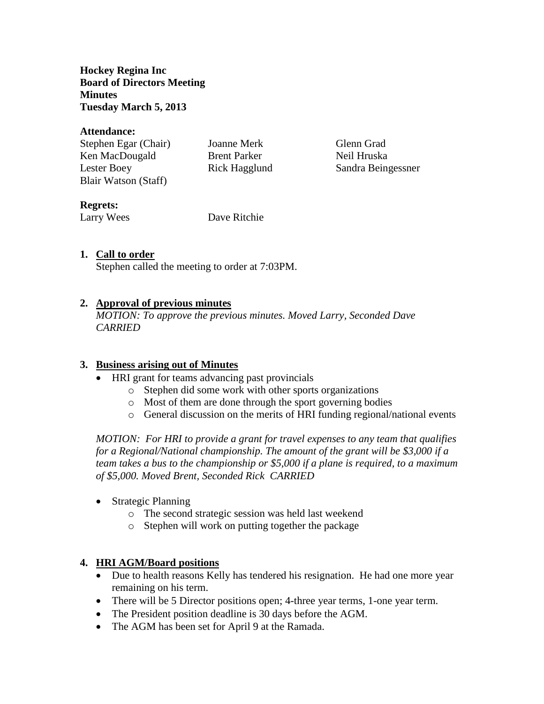**Hockey Regina Inc Board of Directors Meeting Minutes Tuesday March 5, 2013**

#### **Attendance:**

| Stephen Egar (Chair) | Joanne Merk         | Glenn Grad         |
|----------------------|---------------------|--------------------|
| Ken MacDougald       | <b>Brent Parker</b> | Neil Hruska        |
| Lester Boey          | Rick Hagglund       | Sandra Beingessner |
| Blair Watson (Staff) |                     |                    |

### **Regrets:**

Larry Wees Dave Ritchie

# **1. Call to order**

Stephen called the meeting to order at 7:03PM.

# **2. Approval of previous minutes**

*MOTION: To approve the previous minutes. Moved Larry, Seconded Dave CARRIED*

#### **3. Business arising out of Minutes**

- HRI grant for teams advancing past provincials
	- o Stephen did some work with other sports organizations
	- o Most of them are done through the sport governing bodies
	- o General discussion on the merits of HRI funding regional/national events

*MOTION: For HRI to provide a grant for travel expenses to any team that qualifies for a Regional/National championship. The amount of the grant will be \$3,000 if a team takes a bus to the championship or \$5,000 if a plane is required, to a maximum of \$5,000. Moved Brent, Seconded Rick CARRIED*

- Strategic Planning
	- o The second strategic session was held last weekend
	- o Stephen will work on putting together the package

# **4. HRI AGM/Board positions**

- Due to health reasons Kelly has tendered his resignation. He had one more year remaining on his term.
- There will be 5 Director positions open; 4-three year terms, 1-one year term.
- The President position deadline is 30 days before the AGM.
- The AGM has been set for April 9 at the Ramada.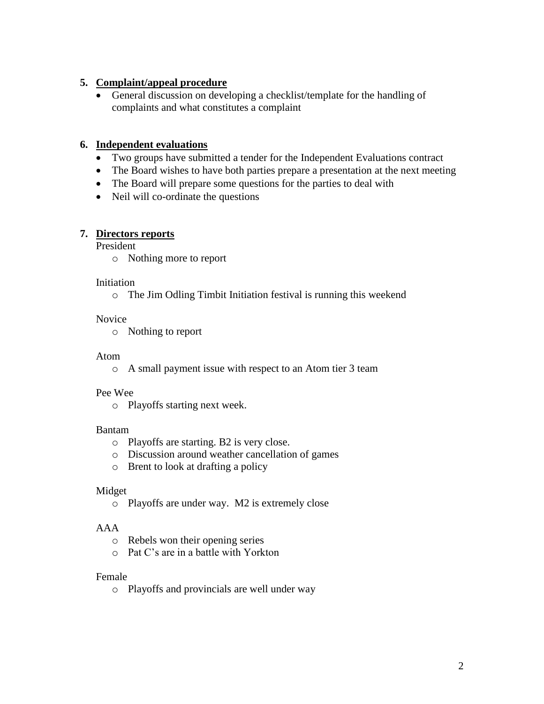# **5. Complaint/appeal procedure**

 General discussion on developing a checklist/template for the handling of complaints and what constitutes a complaint

### **6. Independent evaluations**

- Two groups have submitted a tender for the Independent Evaluations contract
- The Board wishes to have both parties prepare a presentation at the next meeting
- The Board will prepare some questions for the parties to deal with
- Neil will co-ordinate the questions

### **7. Directors reports**

President

o Nothing more to report

#### Initiation

o The Jim Odling Timbit Initiation festival is running this weekend

### Novice

o Nothing to report

### Atom

o A small payment issue with respect to an Atom tier 3 team

#### Pee Wee

o Playoffs starting next week.

#### Bantam

- o Playoffs are starting. B2 is very close.
- o Discussion around weather cancellation of games
- o Brent to look at drafting a policy

#### Midget

o Playoffs are under way. M2 is extremely close

# AAA

- o Rebels won their opening series
- o Pat C's are in a battle with Yorkton

#### Female

o Playoffs and provincials are well under way